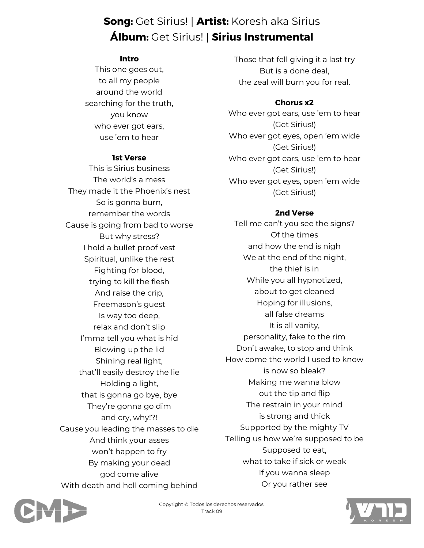# **Song:** Get Sirius! | **Artist:** Koresh aka Sirius **Álbum:** Get Sirius! | **Sirius Instrumental**

#### **Intro**

This one goes out, to all my people around the world searching for the truth, you know who ever got ears, use 'em to hear

#### **1st Verse**

This is Sirius business The world's a mess They made it the Phoenix's nest So is gonna burn, remember the words Cause is going from bad to worse But why stress? I hold a bullet proof vest Spiritual, unlike the rest Fighting for blood, trying to kill the flesh And raise the crip, Freemason's guest Is way too deep, relax and don't slip I'mma tell you what is hid Blowing up the lid Shining real light, that'll easily destroy the lie Holding a light, that is gonna go bye, bye They're gonna go dim and cry, why!?! Cause you leading the masses to die And think your asses won't happen to fry By making your dead god come alive With death and hell coming behind Those that fell giving it a last try But is a done deal, the zeal will burn you for real.

### **Chorus x2**

Who ever got ears, use 'em to hear (Get Sirius!) Who ever got eyes, open 'em wide (Get Sirius!) Who ever got ears, use 'em to hear (Get Sirius!) Who ever got eyes, open 'em wide (Get Sirius!)

#### **2nd Verse**

Tell me can't you see the signs? Of the times and how the end is nigh We at the end of the night, the thief is in While you all hypnotized, about to get cleaned Hoping for illusions, all false dreams It is all vanity, personality, fake to the rim Don't awake, to stop and think How come the world I used to know is now so bleak? Making me wanna blow out the tip and flip The restrain in your mind is strong and thick Supported by the mighty TV Telling us how we're supposed to be Supposed to eat, what to take if sick or weak If you wanna sleep Or you rather see



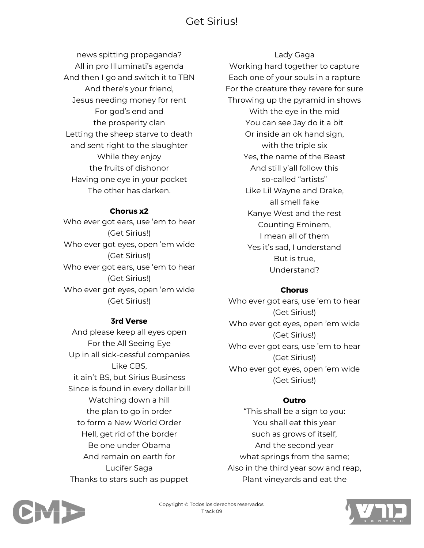# Get Sirius!

news spitting propaganda? All in pro Illuminati's agenda And then I go and switch it to TBN And there's your friend, Jesus needing money for rent For god's end and the prosperity clan Letting the sheep starve to death and sent right to the slaughter While they enjoy the fruits of dishonor Having one eye in your pocket The other has darken.

#### **Chorus x2**

Who ever got ears, use 'em to hear (Get Sirius!) Who ever got eyes, open 'em wide (Get Sirius!) Who ever got ears, use 'em to hear (Get Sirius!) Who ever got eyes, open 'em wide (Get Sirius!)

### **3rd Verse**

And please keep all eyes open For the All Seeing Eye Up in all sick-cessful companies Like CBS, it ain't BS, but Sirius Business Since is found in every dollar bill Watching down a hill the plan to go in order to form a New World Order Hell, get rid of the border Be one under Obama And remain on earth for Lucifer Saga Thanks to stars such as puppet

#### Lady Gaga

Working hard together to capture Each one of your souls in a rapture For the creature they revere for sure Throwing up the pyramid in shows With the eye in the mid You can see Jay do it a bit Or inside an ok hand sign, with the triple six Yes, the name of the Beast And still y'all follow this so-called "artists" Like Lil Wayne and Drake, all smell fake Kanye West and the rest Counting Eminem, I mean all of them Yes it's sad, I understand But is true, Understand?

#### **Chorus**

Who ever got ears, use 'em to hear (Get Sirius!) Who ever got eyes, open 'em wide (Get Sirius!) Who ever got ears, use 'em to hear (Get Sirius!) Who ever got eyes, open 'em wide (Get Sirius!)

#### **Outro**

"This shall be a sign to you: You shall eat this year such as grows of itself, And the second year what springs from the same; Also in the third year sow and reap, Plant vineyards and eat the